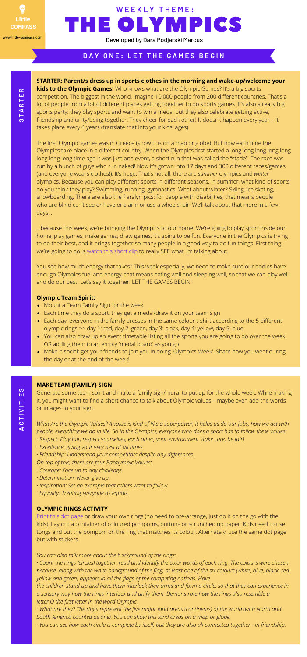- Mount a Team Family Sign for the week
- Each time they do a sport, they get a medal/draw it on your team sign
- Each day, everyone in the family dresses in the same colour t-shirt according to the 5 different olympic rings >> day 1: red, day 2: green, day 3: black, day 4: yellow, day 5: blue
- You can also draw up an event timetable listing all the sports you are going to do over the week OR adding them to an empty 'medal board' as you go
- Make it social: get your friends to join you in doing 'Olympics Week'. Share how you went during the day or at the end of the week!

**STARTER: Parent/s dress up in sports clothes in the morning and wake-up/welcome your kids to the Olympic Games!** Who knows what are the Olympic Games? It's a big sports competition. The biggest in the world. Imagine 10,000 people from 200 different countries. That's a lot of people from a lot of different places getting together to do sporty games. It's also a really big sports party: they play sports and want to win a medal but they also celebrate getting active, friendship and unity/being together. They cheer for each other! It doesn't happen every year – it takes place every 4 years (translate that into your kids' ages).

...because this week, we're bringing the Olympics to our home! We're going to play sport inside our home, play games, make games, draw games, it's going to be fun. Everyone in the Olympics is trying to do their best, and it brings together so many people in a good way to do fun things. First thing we're going to do is [watch](https://www.youtube.com/watch?v=VutjmxCoD4I) this short clip to really SEE what I'm talking about.

The first Olympic games was in Greece (show this on a map or globe). But now each time the Olympics take place in a different country. When the Olympics first started a long long long long long long long long time ago it was just one event, a short run that was called the "stade". The race was run by a bunch of guys who run naked! Now it's grown into 17 days and 300 different races/games (and everyone wears clothes!). It's huge. That's not all: there are *summer* olympics and *winter* olympics. Because you can play different sports in different seasons. In summer, what kind of sports do you think they play? Swimming, running, gymnastics. What about winter? Skiing, ice skating, snowboarding. There are also the Paralympics: for people with disabilities, that means people who are blind can't see or have one arm or use a wheelchair. We'll talk about that more in a few days...

What Are the Olympic Values? A value is kind of like a superpower, it helps us do our jobs, how we act with people, everything we do in life. So in the Olympics, everyone who does a sport has to follow these values: *· Respect: Play fair, respect yourselves, each other, your environment. (take care, be fair)*

· Count the rings (circles) together, read and identify the color words of each ring. The colours were chosen because, along with the white background of the flag, at least one of the six colours (white, blue, black, red, *yellow and green) appears in all the flags of the competing nations. Have*

the children stand-up and have them interlock their arms and form a circle, so that they can experience in *a sensory way how the rings interlock and unify them. Demonstrate how the rings also resemble a letter O the first letter in the word Olympic.*

· What are they? The rings represent the five major land areas (continents) of the world (with North and *South America counted as one). You can show this land areas on a map or globe.*

· You can see how each circle is complete by itself, but they are also all connected together - in friendship.

You see how much energy that takes? This week especially, we need to make sure our bodies have enough Olympics fuel and energy, that means eating well and sleeping well, so that we can play well and do our best. Let's say it together: LET THE GAMES BEGIN!

### **Olympic Team Spirit:**

## **D A Y O N E : L E T T H E G A M E S B E G I N**

**S**

# **MAKE TEAM {FAMILY} SIGN**

Generate some team spirit and make a family sign/mural to put up for the whole week. While making it, you might want to find a short chance to talk about Olympic values – maybe even add the words or images to your sign.

- *· Excellence: giving your very best at all times.*
- *· Friendship: Understand your competitors despite any differences.*
- *On top of this, there are four Paralympic Values:*

- *· Courage: Face up to any challenge.*
- *· Determination: Never give up.*
- *· Inspiration: Set an example that others want to follow.*
- *· Equality: Treating everyone as equals.*

#### **OLYMPIC RINGS ACTIVITY**

# THE OLYMPICS **W E E K L Y T H E M E :**

Print this dot [page](http://makinglearningfun.com/themepages/OlympicRingMagnetPage.htm) or draw your own rings (no need to pre-arrange, just do it on the go with the kids). Lay out a container of coloured pompoms, buttons or scrunched up paper. Kids need to use tongs and put the pompom on the ring that matches its colour. Alternately, use the same dot page but with stickers.

*You can also talk more about the background of the rings:*



Developed by Dara Podjarski Marcus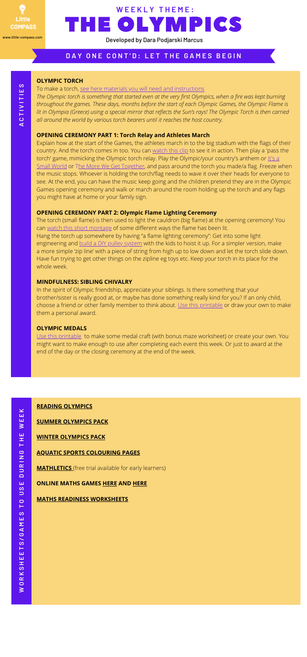#### **OLYMPIC TORCH**

To make a torch, see here materials you will need and [instructions](https://ohcreativeday.com/olympic-torch-craft/)

The Olympic torch is something that started even at the very first Olympics, when a fire was kept burning *throughout the games. These days, months before the start of each Olympic Games, the Olympic Flame is* lit in Olympia (Greece) using a special mirror that reflects the Sun's rays! The Olympic Torch is then carried *all around the world by various torch bearers until it reaches the host country.*

#### **OPENING CEREMONY PART 1: Torch Relay and Athletes March**

The torch (small flame) is then used to light the cauldron (big flame) at the opening ceremony! You can watch this short [montage](https://youtu.be/W1Af40zuPjU) of some different ways the flame has been lit. Hang the torch up somewhere by having "a flame lighting ceremony": Get into some light engineering and build a DIY pulley [system](https://www.youtube.com/watch?v=rc0cpp3i8GA.) with the kids to hoist it up. For a simpler version, make a more simple 'zip line' with a piece of string from high up to low down and let the torch slide down. Have fun trying to get other things on the zipline eg toys etc. Keep your torch in its place for the whole week

Explain how at the start of the Games, the athletes march in to the big stadium with the flags of their country. And the torch comes in too. You can [watch](https://www.youtube.com/watch?v=jjt-c282q3A) this clip to see it in action. Then play a 'pass the torch' game, mimicking the Olympic torch relay. Play the [Olympic/your](https://kids.niehs.nih.gov/games/songs/childrens/its-a-small-world/index.htm) country's anthem or It's a Small World or The More We Get [Together,](https://kids.niehs.nih.gov/games/songs/childrens/more-we-get/index.htm) and pass around the torch you made/a flag. Freeze when the music stops. Whoever is holding the torch/flag needs to wave it over their heads for everyone to see. At the end, you can have the music keep going and the children pretend they are in the Olympic Games opening ceremony and walk or march around the room holding up the torch and any flags you might have at home or your family sign.

**A** $\mathbf \omega$ 

#### **OPENING CEREMONY PART 2: Olympic Flame Lighting Ceremony**

#### **MINDFULNESS: SIBLING CHIVALRY**

In the spirit of Olympic friendship, appreciate your siblings. Is there something that your brother/sister is really good at, or maybe has done something really kind for you? If an only child, choose a friend or other family member to think about. Use this [printable](https://www.activityvillage.co.uk/awards-and-medals) or draw your own to make them a personal award.

#### **OLYMPIC MEDALS**

Use this [printable](http://www.first-school.ws/t.asp?t=http://www.first-school.ws/images/ac/sports/medal_mazeb.gif) to make some medal craft (with bonus maze worksheet) or create your own. You might want to make enough to use after completing each event this week. Or just to award at the end of the day or the closing ceremony at the end of the week.

**T I V I T I E**

**S**

# THE OLYMPICS **W E E K L Y T H E M E :**



Developed by Dara Podjarski Marcus

### DAY ONE CONT'D: LET THE GAMES BEGIN

#### **READING [OLYMPICS](http://prekandksharing.blogspot.com/2012/07/olympic-fun-and-vocabulary.html)**

#### **SUMMER [OLYMPICS](http://www.3dinosaurs.com/printables/packs/summerolympics.php) PACK**

#### **WINTER [OLYMPICS](http://www.3dinosaurs.com/printable/winter-olympics-pack) PACK**

**AQUATIC SPORTS [COLOURING](http://www.first-school.ws/theme/coloring-pages/olympic-games/1-summer-aquatic-water-sports.htm) PAGES**

**[MATHLETICS](https://www.mathletics.com/me/for-home/)** (free trial available for early learners)

#### **ONLINE MATHS GAMES [HERE](https://www.education.com/games/preschool/math/) AND [HERE](https://www.mathgames.com/)**

#### **MATHS READINESS [WORKSHEETS](https://www.kidzone.ws/prek_wrksht/math-readiness/index.htm)**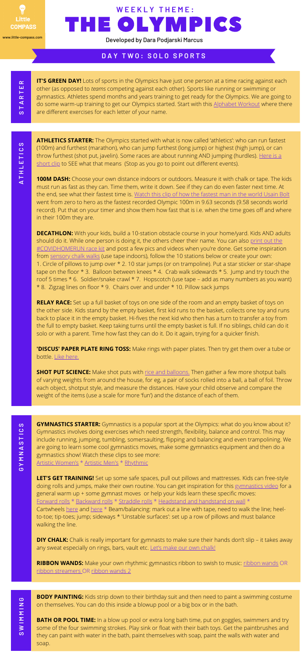**IT'S GREEN DAY!** Lots of sports in the Olympics have just one person at a time racing against each other (as opposed to *teams* competing against each other). Sports like running or swimming or gymnastics. Athletes spend months and years training to get ready for the Olympics. We are going to do some warm-up training to get our Olympics started. Start with this [Alphabet](https://www.730sagestreet.com/spell-your-name-workout/) Workout where there are different exercises for each letter of your name.

**ATHLETICS STARTER:** The Olympics started with what is now called 'athletics': who can run fastest (100m) and furthest (marathon), who can jump furthest (long jump) or highest (high jump), or can throw furthest (shot put, javelin). Some races are about running AND jumping [\(hurdles\).](https://www.youtube.com/watch?v=BWA5YSmH06A) Here is a short clip to SEE what that means (Stop as you go to point out different events).

### **D A Y T W O : S O L O S P O R T S**

**S** $\blacksquare$ **AR** $\blacksquare$ **ER**

> **A** $\blacksquare$ **HLET I C S**

> > **DECATHLON:** With your kids, build a 10-station obstacle course in your home/yard. Kids AND adults should do it. While one person is doing it, the others cheer their name. You can also print out the [#COVIDHOMERUN](https://www.little-compass.com/get-active) race kit and post a few pics and videos when you're done. Get some inspiration from [sensory](https://www.youtube.com/watch?v=J065m4WtRpQ) chalk walks (use tape indoors), follow the 10 stations below or create your own: 1. Circle of pillows to jump over \* 2. 10 star jumps (or on trampoline). Put a star sticker or star-shape tape on the floor \* 3. Balloon between knees \* 4. Crab walk sidewards \* 5. Jump and try touch the roof 5 times \* 6. Soldier/snake crawl \* 7. Hopscotch (use tape – add as many numbers as you want) \* 8. Zigzag lines on floor \* 9. Chairs over and under \* 10. Pillow sack jumps

> > **100M DASH:** Choose your own distance indoors or outdoors. Measure it with chalk or tape. The kids must run as fast as they can. Time them, write it down. See if they can do even faster next time. At the end, see what their [fastest](https://www.youtube.com/watch?v=ohgbmYv-zzQ) time is. Watch this clip of how the fastest man in the world Usain Bolt went from zero to hero as the fastest recorded Olympic 100m in 9.63 seconds (9.58 seconds world record). Put that on your timer and show them how fast that is i.e. when the time goes off and where in their 100m they are.

> > **SHOT PUT SCIENCE:** Make shot puts with rice and [balloons.](http://krokotak.com/2013/03/rice-balls/) Then gather a few more shotput balls of varying weights from around the house, for eg, a pair of socks rolled into a ball, a ball of foil. Throw each object, shotput style, and measure the distances. Have your child observe and compare the weight of the items (use a scale for more 'fun') and the distance of each of them.

THE OLYMPICS **W E E K L Y T H E M E :** Developed by Dara Podjarski Marcus

**RIBBON WANDS:** Make your own rhythmic gymnastics [ribbon](https://www.somewhatsimple.com/ribbon-wands/) to swish to music: ribbon wands OR ribbon [streamers](https://www.boptots.co.uk/make-your-own-ribbon-streamers/) OR [ribbon](https://www.thesitsgirls.com/diy/diy-dancing-ribbon-wands/) wands 2

**BODY PAINTING:** Kids strip down to their birthday suit and then need to paint a swimming costume on themselves. You can do this inside a blowup pool or a big box or in the bath.

**RELAY RACE:** Set up a full basket of toys on one side of the room and an empty basket of toys on the other side. Kids stand by the empty basket, first kid runs to the basket, collects one toy and runs back to place it in the empty basket. Hi-fives the next kid who then has a turn to transfer a toy from the full to empty basket. Keep taking turns until the empty basket is full. If no siblings, child can do it solo or with a parent. Time how fast they can do it. Do it again, trying for a quicker finish.

**BATH OR POOL TIME:** In a blow up pool or extra long bath time, put on goggles, swimmers and try some of the four swimming strokes. Play sink or float with their bath toys. Get the paintbrushes and they can paint with water in the bath, paint themselves with soap, paint the walls with water and soap.

**'DISCUS' PAPER PLATE RING TOSS:** Make rings with paper plates. Then try get them over a tube or bottle. Like [here.](https://www.kiwico.com/diy/Arts-and-Crafts-Ideas/1/project/Paper-Plate-Ring-Toss/2572)



**GYMNASTICS STARTER:** Gymnastics is a popular sport at the Olympics: what do you know about it? Gymnastics involves doing exercises which need strength, flexibility, balance and control. This may include running, jumping, tumbling, somersaulting, flipping and balancing and even trampolining. We are going to learn some cool gymnastics moves, make some gymnastics equipment and then do a gymnastics show! Watch these clips to see more: Artistic [Women's](https://www.youtube.com/watch?v=Rr-NVhPJRJg) \* [Artistic](https://www.youtube.com/watch?v=UqpDN3dlCW0) Men's \* [Rhythmic](https://youtu.be/xDzFsB_V9lM)

**LET'S GET TRAINING!** Set up some safe spaces, pull out pillows and mattresses. Kids can free-style doing rolls and jumps, make their own routine. You can get inspiration for this [gymnastics](https://youtu.be/3DMeuhrenDI) video for a general warm up + some gymnast moves or help your kids learn these specific moves: [Forward](https://www.youtube.com/watch?v=V3UJZqXTN_U) rolls \* [Backward](https://www.youtube.com/watch?v=Vp7v9_xP-1Q) rolls \* [Straddle](https://www.youtube.com/watch?v=V3UJZqXTN_U) rolls \* [Headstand](https://www.youtube.com/watch?v=y_pj9g-07bo) and handstand on wall \* Cartwheels [here](https://www.youtube.com/watch?v=uTtUYnEmRvQ) and here \* Beam/balancing: mark out a line with tape, need to walk the line; heelto-toe; tip-toes; jump; sideways \* 'Unstable surfaces': set up a row of pillows and must balance walking the line.

**DIY CHALK:** Chalk is really important for gymnasts to make sure their hands don't slip – it takes away any sweat especially on rings, bars, vault etc. Let's make our own [chalk!](https://www.wikihow.com/Make-Homemade-Chalk)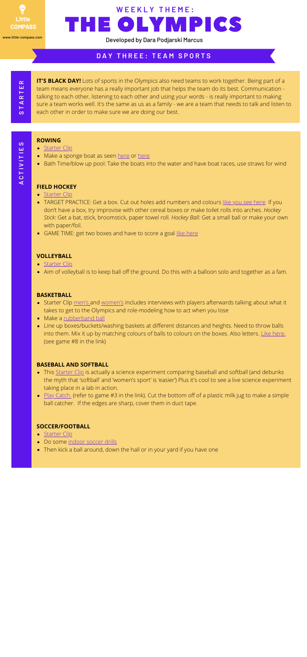**IT'S BLACK DAY!** Lots of sports in the Olympics also need teams to work together. Being part of a team means everyone has a really important job that helps the team do its best. Communication talking to each other, listening to each other and using your words - is really important to making sure a team works well. It's the same as us as a family - we are a team that needs to talk and listen to each other in order to make sure we are doing our best.

- [Starter](https://www.youtube.com/watch?v=5dSHUzzX7jI) Clip
- Make a sponge boat as seen [here](https://parade.com/127452/jodikahn/12-how-to-make-kitchen-sponge-boats/) or here
- Bath Time/blow up pool: Take the boats into the water and have boat races, use straws for wind

### **D A Y T H R E E : T E A M S P O R T S**

**S** $\blacksquare$ **AR** $\blacksquare$ **ER**

> **AC**

**T I V I T I E**

**S**

- [Starter](https://www.youtube.com/watch?v=P464_kcUsLc) Clip
- Aim of volleyball is to keep ball off the ground. Do this with a balloon solo and together as a fam.

- Starter Clip [men's](https://www.youtube.com/watch?v=3JLGAgM9Jm8) and [women's](https://www.youtube.com/watch?v=aZ707YPT95M) includes interviews with players afterwards talking about what it takes to get to the Olympics and role-modeling how to act when you lose
- Make a [rubberband](https://www.kidspot.com.au/things-to-do/activity-articles/build-a-rubber-band-ball/news-story/dda762fafbca3f322e91f50201345812) ball
- Line up boxes/buckets/washing baskets at different distances and heights. Need to throw balls into them. Mix it up by matching colours of balls to colours on the boxes. Also letters. Like [here.](https://frugalfun4boys.com/indoor-ball-games-kids/) (see game #8 in the link)

- This [Starter](https://youtu.be/JG8NOR6Lg2c) Clip is actually a science experiment comparing baseball and softball (and debunks the myth that 'softball' and 'women's sport' is 'easier') Plus it's cool to see a live science experiment taking place in a lab in action.
- Play [Catch.](https://frugalfun4boys.com/indoor-ball-games-kids/) (refer to game #3 in the link). Cut the bottom off of a plastic milk jug to make a simple ball catcher. If the edges are sharp, cover them in duct tape.

- [Starter](https://www.youtube.com/watch?v=z2EnbBkwpi4) Clip
- Do some [indoor](https://www.youtube.com/watch?v=s3HqH4biTWg) soccer drills
- Then kick a ball around, down the hall or in your yard if you have one

THE OLYMPICS **W E E K L Y T H E M E :**

#### **ROWING**

#### **FIELD HOCKEY**

- [Starter](https://youtu.be/pBHYaSn8qxU) Clip
- TARGET PRACTICE: Get a box. Cut out holes add numbers and colours like you see [here](https://stillnomore.org/craft-box/). If you don't have a box, try improvise with other cereal boxes or make toilet rolls into arches. *Hockey Stick*: Get a bat, stick, broomstick, paper towel roll. *Hockey Ball:* Get a small ball or make your own with paper/foil.
- GAME TIME: get two boxes and have to score a goal like [here](https://frugalfun4boys.com/indoor-ball-games-kids/)

#### **VOLLEYBALL**

#### **BASKETBALL**

#### **BASEBALL AND SOFTBALL**

#### **SOCCER/FOOTBALL**



Developed by Dara Podjarski Marcus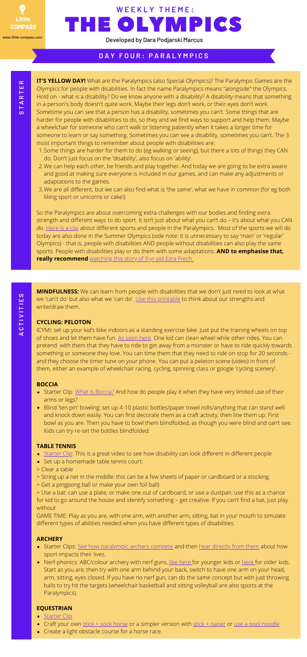- 1. Some things are harder for them to do (eg walking or seeing), but there a lots of things they CAN do. Don't just focus on the 'disability', also focus on 'ability'.
- We can help each other, be friends and play together. And today we are going to be extra aware 2. and good at making sure everyone is included in our games, and can make any adjustments or adaptations to the games.
- 3. We are all different, but we can also find what is 'the same', what we have in common (for eg both liking sport or unicorns or cake!)

**IT'S YELLOW DAY!** What are the Paralympics (also Special Olympics)? The Paralympic Games are the Olympics for people with disabilities. In fact the name Paralympics means "alongside" the Olympics. Hold on - what is a disability? Do we know anyone with a disability? A disability means that something in a person's body doesn't quite work. Maybe their legs don't work, or their eyes don't work. Sometime you can see that a person has a disability, sometimes you can't. Some things that are harder for people with disabilities to do, so they and we find ways to support and help them. Maybe a wheelchair for someone who can't walk or listening patiently when it takes a longer time for someone to learn or say something. Sometimes you can see a disability, sometimes you can't. The 3 most important things to remember about people with disabilities are:

So the Paralympics are about overcoming extra challenges with our bodies and finding extra strength and different ways to do sport. It isn't just about what you can't do – it's about what you CAN do. [Here](https://www.youtube.com/watch?v=6RMOSDynkw8) is a clip about different sports and people in the Paralympics. Most of the sports we will do today are also done in the Summer Olympics (side note: it is unnecessary to say 'main' or 'regular' Olympics) - that is, people with disabilities AND people without disabilities can also play the same sports. People with disabilities play or do them with some adaptations. **AND to emphasise that, really recommend** [watching](https://www.youtube.com/watch?v=ekLpn4zKiNU&list=PLaSegn4AdJAz5NJH6CLfUkQe8BlA5zbYd&index=5) this story of 9 yr old Ezra Frech

- Starter Clip: What is [Boccia?](https://youtu.be/eYXL_782-Lo) And how do people play it when they have very limited use of their arms or legs?
- Blind 'ten pin' bowling: set up 4-10 plastic bottles/paper towel rolls/anything that can stand well and knock down easily. You can first decorate them as a craft activity, then line them up. First bowl as you are. Then you have to bowl them blindfolded, as though you were blind and can't see. Kids can try re-set the bottles blindfolded.

- [Starter](https://youtu.be/syPkjGXyS-Q) Clip: This is a great video to see how disability can look different in different people
- Set up a homemade table tennis court:

- Starter Clips: See how [paralympic](https://youtu.be/e_9IatK2PFs) archers compete and then hear [directly](https://youtu.be/Ingz-eFh374) from them about how sport impacts their lives.
- Nerf-phonics: ABC/colour archery with nerf guns, like [here](https://www.dailyrecord.co.uk/lifestyle/family-kids/coronavirus-mum-invents-fun-nerf-21752585) for younger kids or here for older kids. Start as you are, then try with one arm behind your back, switch to have one arm on your head, arm, sitting, eyes closed. If you have no nerf gun, can do the same concept but with just throwing balls to try hit the targets (wheelchair basketball and sitting volleyball are also sports at the Paralympics).

# **D A Y F O U R : P A R A L Y M P I C S**

# THE OLYMPICS **W E E K L Y T H E M E :**

**MINDFULNESS:** We can learn from people with disabilities that we don't just need to look at what we 'can't do' but also what we 'can do'. Use this [printable](https://www.psychpoint.com/mental-health/worksheets/my-strengths/) to think about our strengths and write/draw them.

#### **CYCLING: PELOTON**

ICYMI: set up your kid's bike indoors as a standing exercise bike. Just put the training wheels on top of shoes and let them have fun. As [seen](https://www.youtube.com/watch?v=kjU4nEjdeb4) here. One kid can clean wheel while other rides. You can pretend with them that they have to ride to get away from a monster or have to ride quickly towards something or someone they love. You can time them that they need to ride on-stop for 20 seconds and they choose the timer tune on your phone. You can put a peleton scene (video) in front of them, either an example of wheelchair racing, cycling, spinning class or google 'cycling scenery'.

#### **BOCCIA**

#### **TABLE TENNIS**

- 
- > Clear a table
- > String up a net in the middle: this can be a few sheets of paper or cardboard or a stocking.
- > Get a pingpong ball or make your own foil ball)

> Use a bat: can use a plate, or make one out of cardboard, or use a dustpan: use this as a chance for kid to go around the house and identify something – get creative. If you can't find a bat, just play without

GAME TIME: Play as you are, with one arm, with another arm, sitting, bat in your mouth to simulate different types of abilities needed when you have different types of disabilities.

#### **ARCHERY**

#### **EQUESTRIAN**

- [Starter](https://youtu.be/Lp5-W3IM5bc) Clip
- Craft your own stick + sock [horse](https://www.redtedart.com/how-to-make-a-diy-stick-horse/) or a simpler version with stick + [paper](https://www.fun365.orientaltrading.com/project/diy-paper-horse-stick) or use a pool [noodle](https://www.pbs.org/parents/crafts-and-experiments/turn-a-pool-noodle-into-horse-stick)
- Create a light obstacle course for a horse race.



Developed by Dara Podjarski Marcus